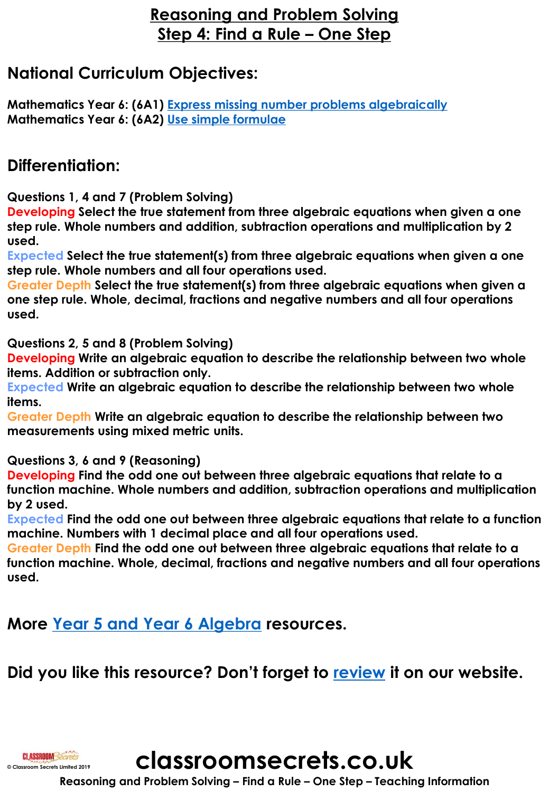## **Reasoning and Problem Solving Step 4: Find a Rule – One Step**

## **National Curriculum Objectives:**

**Mathematics Year 6: (6A1) [Express missing number problems algebraically](https://classroomsecrets.co.uk/content-domain-filter/?fwp_contentdomain=6a1) Mathematics Year 6: (6A2) [Use simple formulae](https://classroomsecrets.co.uk/content-domain-filter/?fwp_contentdomain=6a2)**

## **Differentiation:**

**Questions 1, 4 and 7 (Problem Solving)**

**Developing Select the true statement from three algebraic equations when given a one step rule. Whole numbers and addition, subtraction operations and multiplication by 2 used.**

**Expected Select the true statement(s) from three algebraic equations when given a one step rule. Whole numbers and all four operations used.**

**Greater Depth Select the true statement(s) from three algebraic equations when given a one step rule. Whole, decimal, fractions and negative numbers and all four operations used.**

**Questions 2, 5 and 8 (Problem Solving)**

**Developing Write an algebraic equation to describe the relationship between two whole items. Addition or subtraction only.**

**Expected Write an algebraic equation to describe the relationship between two whole items.**

**Greater Depth Write an algebraic equation to describe the relationship between two measurements using mixed metric units.**

**Questions 3, 6 and 9 (Reasoning)**

**Developing Find the odd one out between three algebraic equations that relate to a function machine. Whole numbers and addition, subtraction operations and multiplication by 2 used.**

**Expected Find the odd one out between three algebraic equations that relate to a function machine. Numbers with 1 decimal place and all four operations used.**

**Greater Depth Find the odd one out between three algebraic equations that relate to a function machine. Whole, decimal, fractions and negative numbers and all four operations used.**

**More [Year 5 and Year 6 Algebra](https://classroomsecrets.co.uk/category/mixed-age-maths/year-5-6/spring-block-3-algebra-year-5-6/) resources.**

## **Did you like this resource? Don't forget to [review](https://classroomsecrets.co.uk/mixed-age-year-5-and-6-algebra-step-4-resource-pack) it on our website.**



**classroomsecrets.co.uk**

**Reasoning and Problem Solving – Find a Rule – One Step – Teaching Information**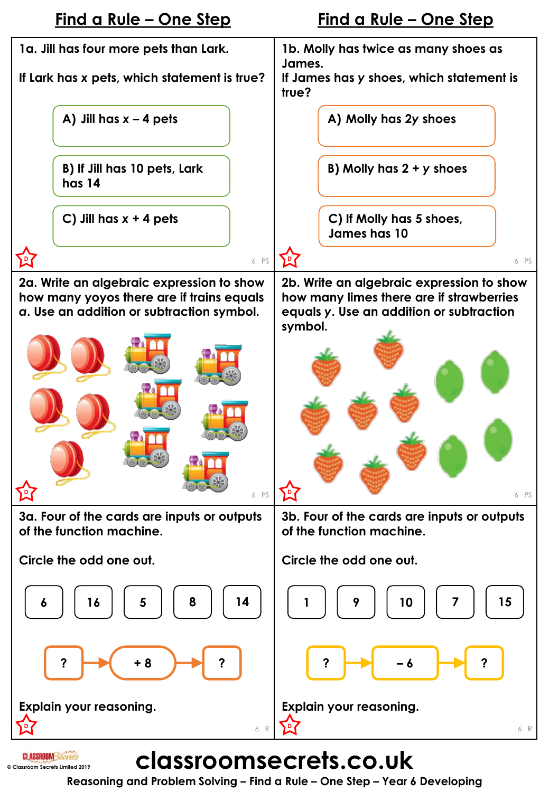

**Reasoning and Problem Solving – Find a Rule – One Step – Year 6 Developing**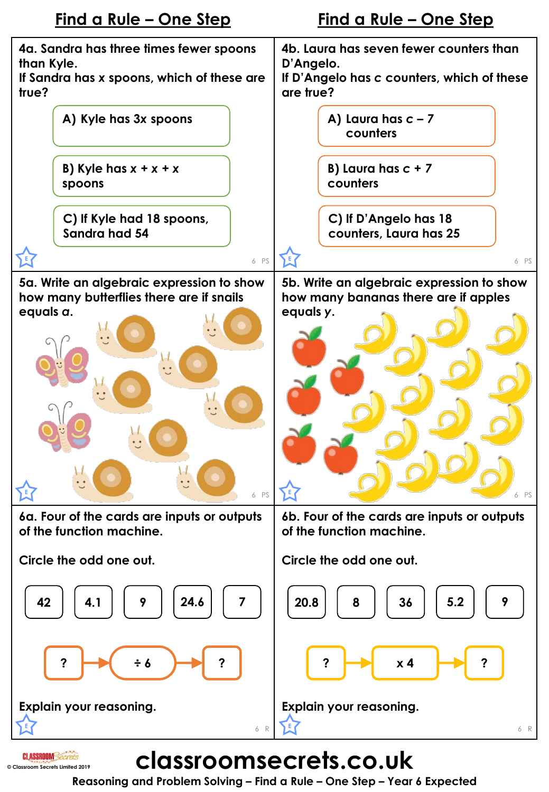

**Reasoning and Problem Solving – Find a Rule – One Step – Year 6 Expected**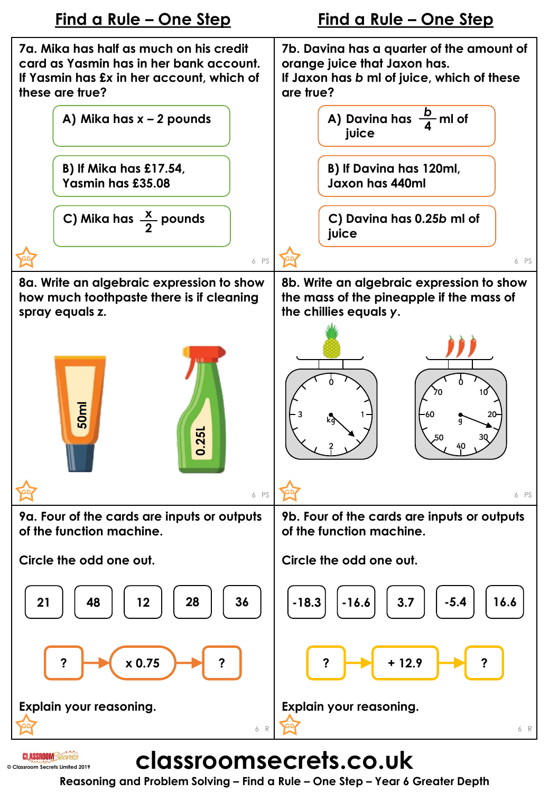

**Reasoning and Problem Solving – Find a Rule – One Step – Year 6 Greater Depth**

**© Classroom Secrets Limited 2019**